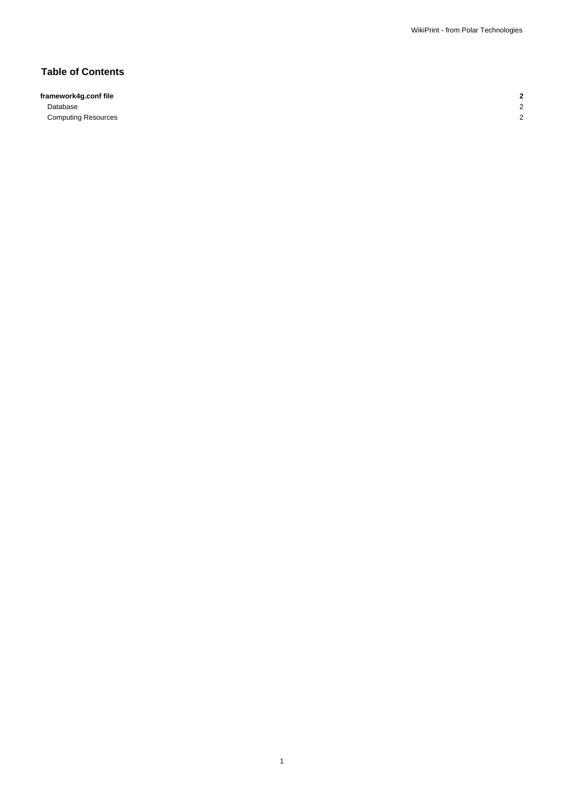# **Table of Contents**

**framework4g.conf file 2** Database 2

**Computing Resources** 2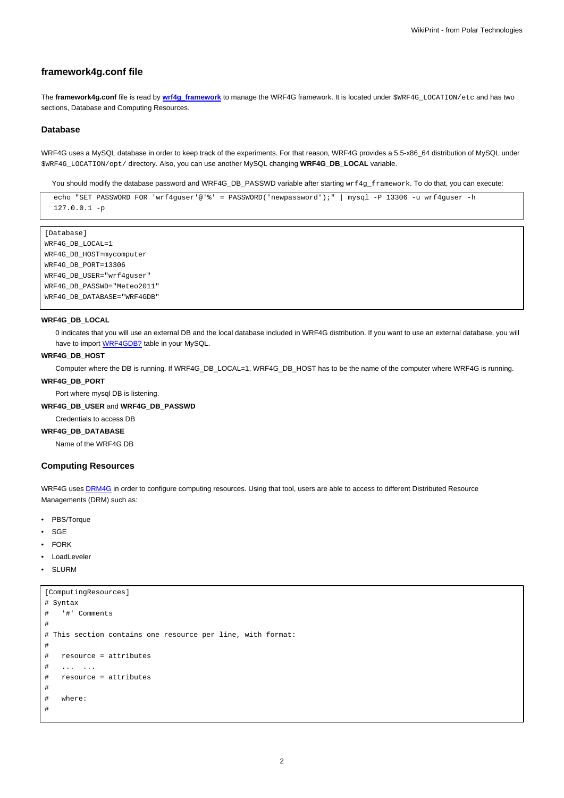# **framework4g.conf file**

The **framework4g.conf** file is read by **[wrf4g\\_framework](https://meteo.unican.es/trac/wiki/WRF4GCommandLineTools#wrf4g_framework)** to manage the WRF4G framework. It is located under \$WRF4G\_LOCATION/etc and has two sections, Database and Computing Resources.

#### **Database**

WRF4G uses a MySQL database in order to keep track of the experiments. For that reason, WRF4G provides a 5.5-x86\_64 distribution of MySQL under \$WRF4G\_LOCATION/opt/ directory. Also, you can use another MySQL changing **WRF4G\_DB\_LOCAL** variable.

You should modify the database password and WRF4G\_DB\_PASSWD variable after starting wrf4g\_framework. To do that, you can execute:

```
echo "SET PASSWORD FOR 'wrf4guser'@'%' = PASSWORD('newpassword');" | mysql -P 13306 -u wrf4guser -h
127.0.0.1 -p
```

```
[Database]
WRF4G_DB_LOCAL=1
WRF4G_DB_HOST=mycomputer
WRF4G_DB_PORT=13306
WRF4G_DB_USER="wrf4guser"
WRF4G_DB_PASSWD="Meteo2011"
WRF4G_DB_DATABASE="WRF4GDB"
```
# **WRF4G\_DB\_LOCAL**

0 indicates that you will use an external DB and the local database included in WRF4G distribution. If you want to use an external database, you will have to import **WRF4GDB?** table in your MySQL.

## **WRF4G\_DB\_HOST**

Computer where the DB is running. If WRF4G\_DB\_LOCAL=1, WRF4G\_DB\_HOST has to be the name of the computer where WRF4G is running.

### **WRF4G\_DB\_PORT**

Port where mysql DB is listening.

## **WRF4G\_DB\_USER** and **WRF4G\_DB\_PASSWD**

Credentials to access DB

# **WRF4G\_DB\_DATABASE**

Name of the WRF4G DB

## **Computing Resources**

WRF4G uses [DRM4G](https://meteo.unican.es/trac/wiki/DRM4G) in order to configure computing resources. Using that tool, users are able to access to different Distributed Resource Managements (DRM) such as:

- PBS/Torque
- **SGE**
- FORK
- LoadLeveler
- **SLURM**

```
[ComputingResources]
# Syntax
# '#' Comments
#
# This section contains one resource per line, with format:
#
# resource = attributes
# ... ...
# resource = attributes
#
# where:
#
```